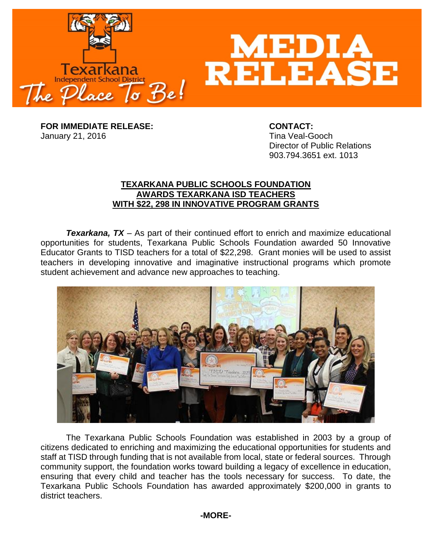

**FOR IMMEDIATE RELEASE: CONTACT:** January 21, 2016 **Time Veal-Gooch** 

Director of Public Relations 903.794.3651 ext. 1013

## **TEXARKANA PUBLIC SCHOOLS FOUNDATION AWARDS TEXARKANA ISD TEACHERS WITH \$22, 298 IN INNOVATIVE PROGRAM GRANTS**

**Texarkana, TX** – As part of their continued effort to enrich and maximize educational opportunities for students, Texarkana Public Schools Foundation awarded 50 Innovative Educator Grants to TISD teachers for a total of \$22,298. Grant monies will be used to assist teachers in developing innovative and imaginative instructional programs which promote student achievement and advance new approaches to teaching.



The Texarkana Public Schools Foundation was established in 2003 by a group of citizens dedicated to enriching and maximizing the educational opportunities for students and staff at TISD through funding that is not available from local, state or federal sources. Through community support, the foundation works toward building a legacy of excellence in education, ensuring that every child and teacher has the tools necessary for success. To date, the Texarkana Public Schools Foundation has awarded approximately \$200,000 in grants to district teachers.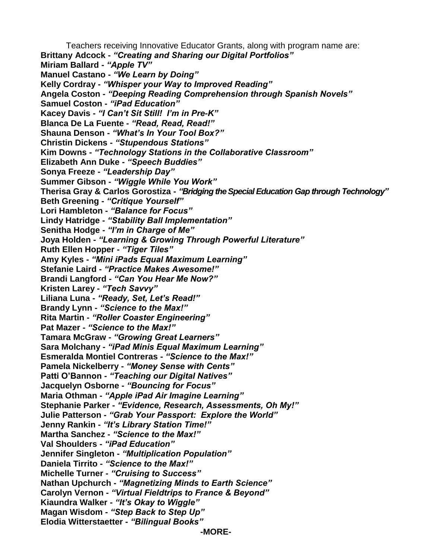Teachers receiving Innovative Educator Grants, along with program name are: **Brittany Adcock -** *"Creating and Sharing our Digital Portfolios"* **Miriam Ballard -** *"Apple TV"* **Manuel Castano -** *"We Learn by Doing"* **Kelly Cordray -** *"Whisper your Way to Improved Reading"* **Angela Coston -** *"Deeping Reading Comprehension through Spanish Novels"* **Samuel Coston -** *"iPad Education"* **Kacey Davis -** *"I Can't Sit Still! I'm in Pre-K"* **Blanca De La Fuente -** *"Read, Read, Read!"* **Shauna Denson -** *"What's In Your Tool Box?"* **Christin Dickens -** *"Stupendous Stations"* **Kim Downs -** *"Technology Stations in the Collaborative Classroom"* **Elizabeth Ann Duke -** *"Speech Buddies"* **Sonya Freeze -** *"Leadership Day"* **Summer Gibson -** *"Wiggle While You Work"* **Therisa Gray & Carlos Gorostiza -** *"Bridging the Special Education Gap through Technology"* **Beth Greening -** *"Critique Yourself"* **Lori Hambleton -** *"Balance for Focus"* **Lindy Hatridge -** *"Stability Ball Implementation"* **Senitha Hodge -** *"I'm in Charge of Me"* **Joya Holden -** *"Learning & Growing Through Powerful Literature"* **Ruth Ellen Hopper -** *"Tiger Tiles"* **Amy Kyles -** *"Mini iPads Equal Maximum Learning"* **Stefanie Laird -** *"Practice Makes Awesome!"* **Brandi Langford -** *"Can You Hear Me Now?"* **Kristen Larey -** *"Tech Savvy"* **Liliana Luna -** *"Ready, Set, Let's Read!"* **Brandy Lynn -** *"Science to the Max!"* **Rita Martin -** *"Roller Coaster Engineering"* **Pat Mazer -** *"Science to the Max!"* **Tamara McGraw -** *"Growing Great Learners"* **Sara Molchany -** *"iPad Minis Equal Maximum Learning"* **Esmeralda Montiel Contreras -** *"Science to the Max!"* **Pamela Nickelberry -** *"Money Sense with Cents"* **Patti O'Bannon -** *"Teaching our Digital Natives"* **Jacquelyn Osborne -** *"Bouncing for Focus"* **Maria Othman -** *"Apple iPad Air Imagine Learning"* **Stephanie Parker -** *"Evidence, Research, Assessments, Oh My!"* **Julie Patterson -** *"Grab Your Passport: Explore the World"* **Jenny Rankin -** *"It's Library Station Time!"* **Martha Sanchez -** *"Science to the Max!"* **Val Shoulders -** *"iPad Education"* **Jennifer Singleton -** *"Multiplication Population"* **Daniela Tirrito -** *"Science to the Max!"* **Michelle Turner -** *"Cruising to Success"* **Nathan Upchurch -** *"Magnetizing Minds to Earth Science"* **Carolyn Vernon -** *"Virtual Fieldtrips to France & Beyond"* **Kiaundra Walker -** *"It's Okay to Wiggle"* **Magan Wisdom -** *"Step Back to Step Up"* **Elodia Witterstaetter -** *"Bilingual Books"* **-MORE-**